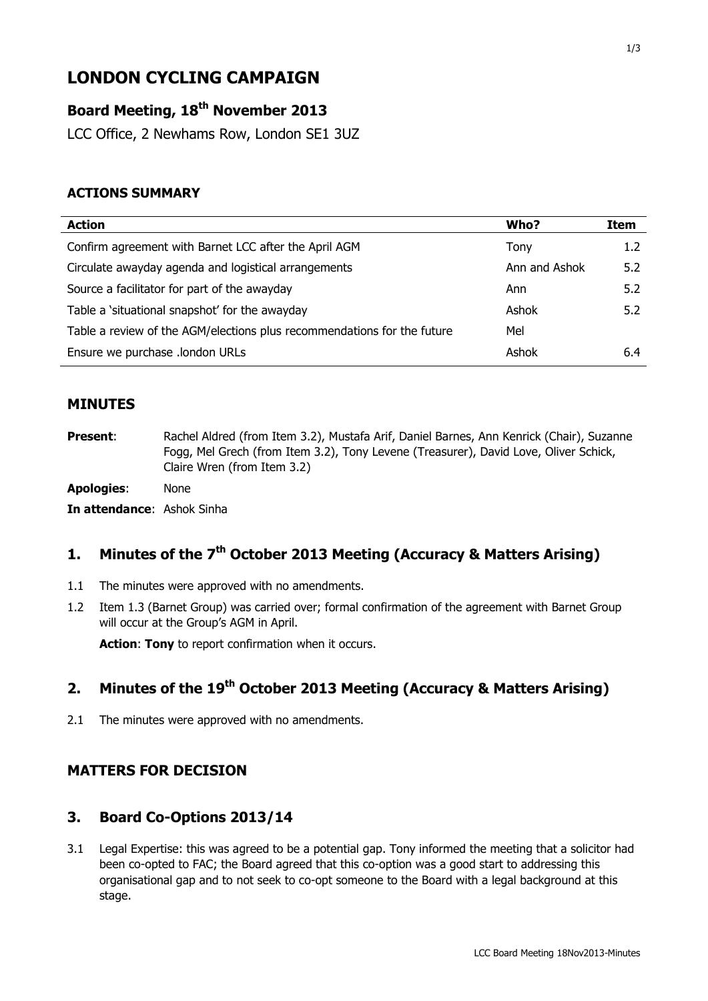# **LONDON CYCLING CAMPAIGN**

# **Board Meeting, 18th November 2013**

LCC Office, 2 Newhams Row, London SE1 3UZ

# **ACTIONS SUMMARY**

| Who?          | Item             |
|---------------|------------------|
| Tony          | 1.2 <sub>2</sub> |
| Ann and Ashok | 5.2              |
| Ann           | 5.2              |
| Ashok         | 5.2              |
| Mel           |                  |
| Ashok         | 6.4              |
|               |                  |

#### **MINUTES**

**Present:** Rachel Aldred (from Item 3.2), Mustafa Arif, Daniel Barnes, Ann Kenrick (Chair), Suzanne Fogg, Mel Grech (from Item 3.2), Tony Levene (Treasurer), David Love, Oliver Schick, Claire Wren (from Item 3.2)

**Apologies**: None

**In attendance**: Ashok Sinha

# **1. Minutes of the 7 th October 2013 Meeting (Accuracy & Matters Arising)**

- 1.1 The minutes were approved with no amendments.
- 1.2 Item 1.3 (Barnet Group) was carried over; formal confirmation of the agreement with Barnet Group will occur at the Group's AGM in April.

**Action**: **Tony** to report confirmation when it occurs.

# **2. Minutes of the 19th October 2013 Meeting (Accuracy & Matters Arising)**

2.1 The minutes were approved with no amendments.

# **MATTERS FOR DECISION**

#### **3. Board Co-Options 2013/14**

3.1 Legal Expertise: this was agreed to be a potential gap. Tony informed the meeting that a solicitor had been co-opted to FAC; the Board agreed that this co-option was a good start to addressing this organisational gap and to not seek to co-opt someone to the Board with a legal background at this stage.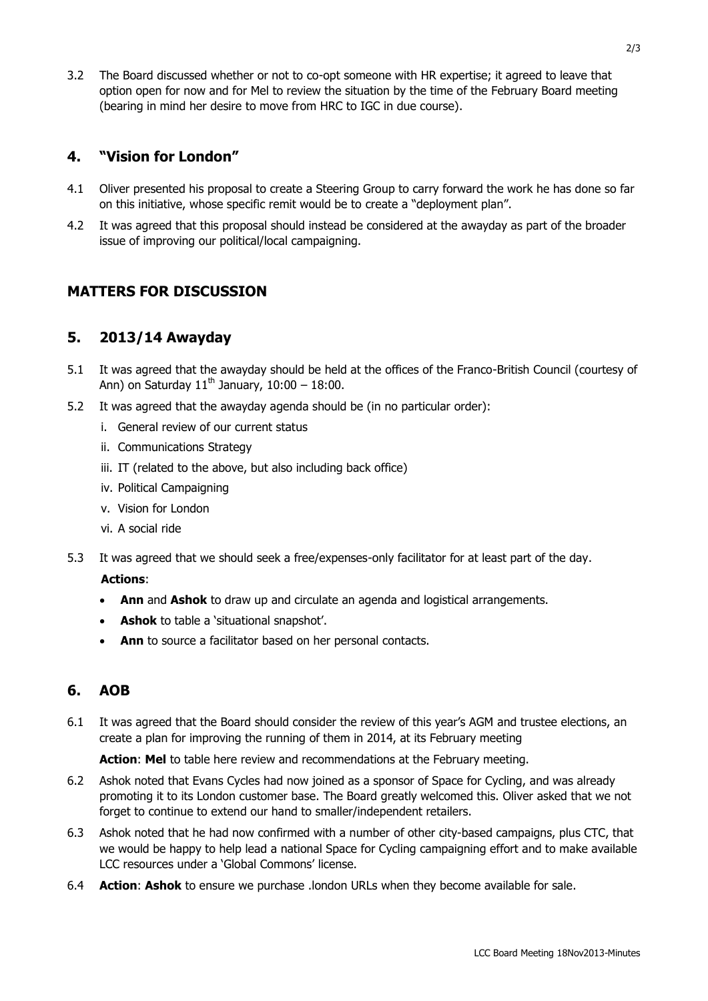3.2 The Board discussed whether or not to co-opt someone with HR expertise; it agreed to leave that option open for now and for Mel to review the situation by the time of the February Board meeting (bearing in mind her desire to move from HRC to IGC in due course).

# **4. "Vision for London"**

- 4.1 Oliver presented his proposal to create a Steering Group to carry forward the work he has done so far on this initiative, whose specific remit would be to create a "deployment plan".
- 4.2 It was agreed that this proposal should instead be considered at the awayday as part of the broader issue of improving our political/local campaigning.

# **MATTERS FOR DISCUSSION**

# **5. 2013/14 Awayday**

- 5.1 It was agreed that the awayday should be held at the offices of the Franco-British Council (courtesy of Ann) on Saturday  $11<sup>th</sup>$  January,  $10:00 - 18:00$ .
- 5.2 It was agreed that the awayday agenda should be (in no particular order):
	- i. General review of our current status
	- ii. Communications Strategy
	- iii. IT (related to the above, but also including back office)
	- iv. Political Campaigning
	- v. Vision for London
	- vi. A social ride
- 5.3 It was agreed that we should seek a free/expenses-only facilitator for at least part of the day.

#### **Actions**:

- **Ann** and **Ashok** to draw up and circulate an agenda and logistical arrangements.
- **Ashok** to table a 'situational snapshot'.
- **Ann** to source a facilitator based on her personal contacts.

# **6. AOB**

6.1 It was agreed that the Board should consider the review of this year's AGM and trustee elections, an create a plan for improving the running of them in 2014, at its February meeting

**Action**: **Mel** to table here review and recommendations at the February meeting.

- 6.2 Ashok noted that Evans Cycles had now joined as a sponsor of Space for Cycling, and was already promoting it to its London customer base. The Board greatly welcomed this. Oliver asked that we not forget to continue to extend our hand to smaller/independent retailers.
- 6.3 Ashok noted that he had now confirmed with a number of other city-based campaigns, plus CTC, that we would be happy to help lead a national Space for Cycling campaigning effort and to make available LCC resources under a 'Global Commons' license.
- 6.4 **Action**: **Ashok** to ensure we purchase .london URLs when they become available for sale.